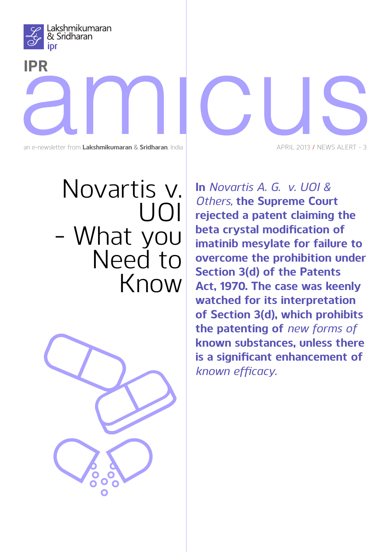

## **IPR**

an e-newsletter from **Lakshmikumaran** & **Sridharan**, India

## Novartis v. UOI - What you Need to Know



APRIL 2013 **/** News Alert - 3

**In** *Novartis A. G. v. UOI & Others,* **the Supreme Court rejected a patent claiming the beta crystal modification of imatinib mesylate for failure to overcome the prohibition under Section 3(d) of the Patents Act, 1970. The case was keenly watched for its interpretation of Section 3(d), which prohibits the patenting of** *new forms of*  **known substances, unless there is a significant enhancement of**  *known efficacy.*